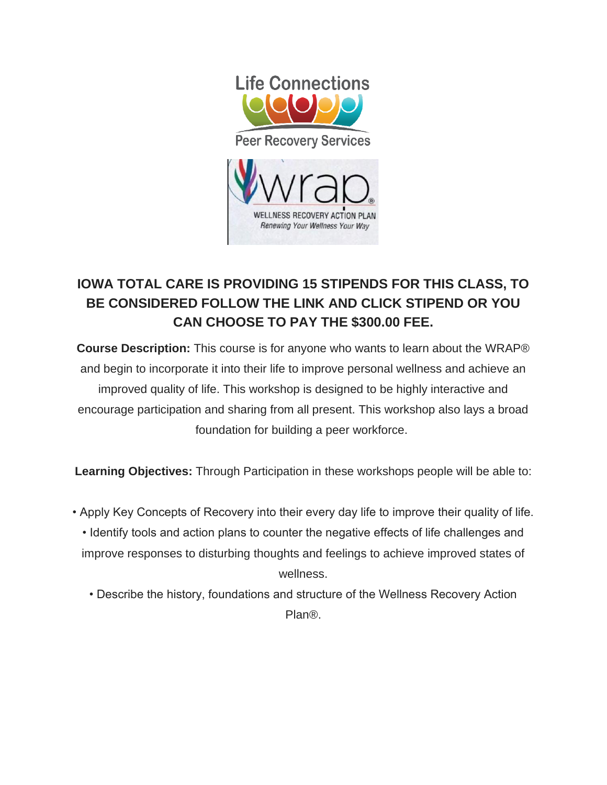

## **IOWA TOTAL CARE IS PROVIDING 15 STIPENDS FOR THIS CLASS, TO BE CONSIDERED FOLLOW THE LINK AND CLICK STIPEND OR YOU CAN CHOOSE TO PAY THE \$300.00 FEE.**

**Course Description:** This course is for anyone who wants to learn about the WRAP® and begin to incorporate it into their life to improve personal wellness and achieve an improved quality of life. This workshop is designed to be highly interactive and encourage participation and sharing from all present. This workshop also lays a broad foundation for building a peer workforce.

**Learning Objectives:** Through Participation in these workshops people will be able to:

- Apply Key Concepts of Recovery into their every day life to improve their quality of life. • Identify tools and action plans to counter the negative effects of life challenges and improve responses to disturbing thoughts and feelings to achieve improved states of wellness.
	- Describe the history, foundations and structure of the Wellness Recovery Action Plan®.